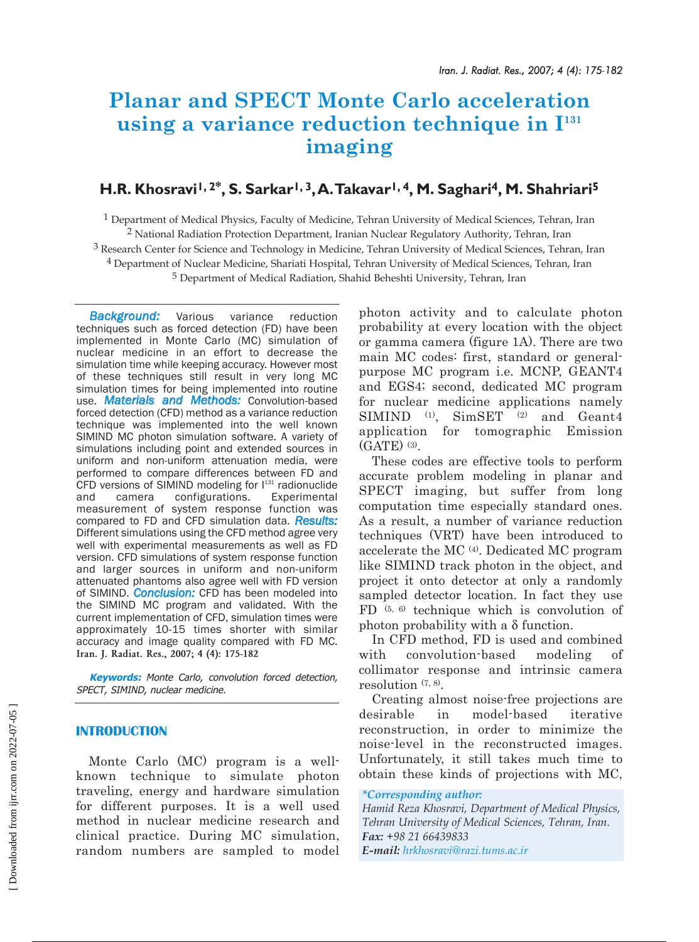# **Planar and SPECT Monte Carlo acceleration** using a variance reduction technique in  $I<sup>131</sup>$ **imaging**

# **H.R. Khosravi1, 2\*, S. Sarkar1, 3,A.Takavar1, 4, M. Saghari4, M. Shahriari5**

1 Department of Medical Physics, Faculty of Medicine, Tehran University of Medical Sciences, Tehran, Iran 2 National Radiation Protection Department, Iranian Nuclear Regulatory Authority, Tehran, Iran 3 Research Center for Science and Technology in Medicine, Tehran University of Medical Sciences, Tehran, Iran 4 Department of Nuclear Medicine, Shariati Hospital, Tehran University of Medical Sciences, Tehran, Iran 5 Department of Medical Radiation, Shahid Beheshti University, Tehran, Iran

*Background:* Various variance reduction techniques such as forced detection (FD) have been implemented in Monte Carlo (MC) simulation of nuclear medicine in an effort to decrease the simulation time while keeping accuracy. However most of these techniques still result in very long MC simulation times for being implemented into routine use. *Materials and Methods:* Convolution-based forced detection (CFD) method as a variance reduction technique was implemented into the well known SIMIND MC photon simulation software. A variety of simulations including point and extended sources in uniform and non-uniform attenuation media, were performed to compare differences between FD and CFD versions of SIMIND modeling for  $1^{131}$  radionuclide and camera configurations. Experimental measurement of system response function was compared to FD and CFD simulation data. *Results:* Different simulations using the CFD method agree very well with experimental measurements as well as FD version. CFD simulations of system response function and larger sources in uniform and non-uniform attenuated phantoms also agree well with FD version of SIMIND. *Conclusion:* CFD has been modeled into the SIMIND MC program and validated. With the current implementation of CFD, simulation times were approximately 10-15 times shorter with similar accuracy and image quality compared with FD MC. **Iran. J. Radiat. Res., 2007; 4 (4): 175-182**

**Keywords:** Monte Carlo, convolution forced detection, SPECT, SIMIND, nuclear medicine.

# **INTRODUCTION**

Monte Carlo (MC) program is a wellknown technique to simulate photon traveling, energy and hardware simulation for different purposes. It is a well used method in nuclear medicine research and clinical practice. During MC simulation, random numbers are sampled to model photon activity and to calculate photon probability at every location with the object or gamma camera (figure 1A). There are two main MC codes: first, standard or generalpurpose MC program i.e. MCNP, GEANT4 and EGS4; second, dedicated MC program for nuclear medicine applications namely SIMIND (1), SimSET (2) and Geant4 application for tomographic Emission (GATE) (3).

These codes are effective tools to perform accurate problem modeling in planar and SPECT imaging, but suffer from long computation time especially standard ones. As a result, a number of variance reduction techniques (VRT) have been introduced to accelerate the MC (4). Dedicated MC program like SIMIND track photon in the object, and project it onto detector at only a randomly sampled detector location. In fact they use FD (5, 6) technique which is convolution of photon probability with a δ function.

In CFD method, FD is used and combined with convolution-based modeling of collimator response and intrinsic camera resolution  $(7, 8)$ .

Creating almost noise-free projections are desirable in model-based iterative reconstruction, in order to minimize the noise-level in the reconstructed images. Unfortunately, it still takes much time to obtain these kinds of projections with MC,

*\*Corresponding author: Hamid Reza Khosravi, Department of Medical Physics, Tehran University of Medical Sciences, Tehran, Iran. Fax: +98 21 66439833 E-mail: hrkhosravi@razi.tums.ac.ir*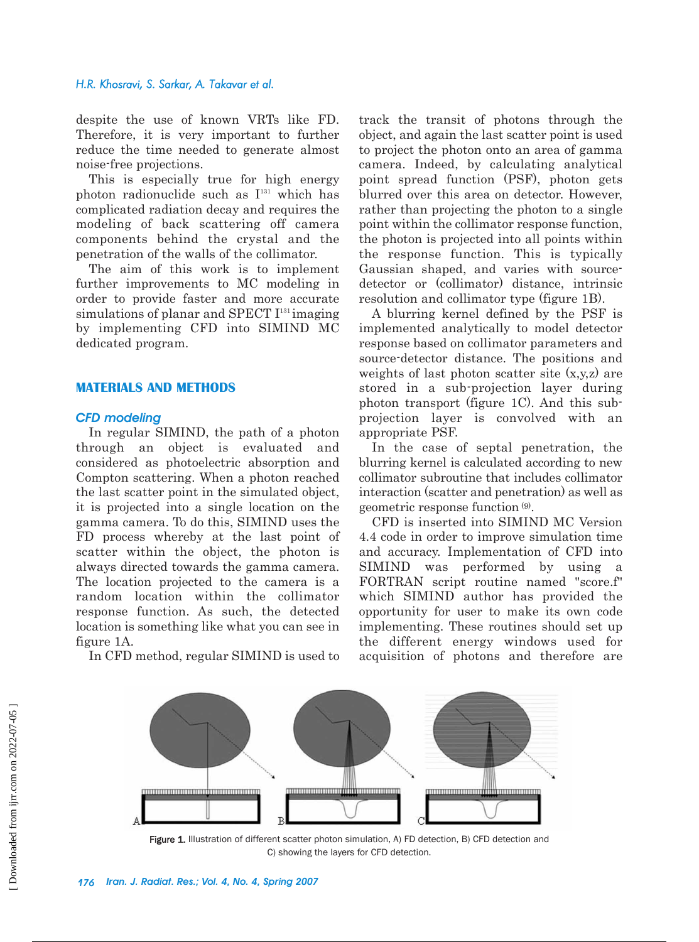#### *H.R. Khosravi, S. Sarkar, A. Takavar et al.*

despite the use of known VRTs like FD. Therefore, it is very important to further reduce the time needed to generate almost noise-free projections.

This is especially true for high energy photon radionuclide such as  $I<sup>131</sup>$  which has complicated radiation decay and requires the modeling of back scattering off camera components behind the crystal and the penetration of the walls of the collimator.

The aim of this work is to implement further improvements to MC modeling in order to provide faster and more accurate simulations of planar and SPECT  $I<sup>131</sup>$  imaging by implementing CFD into SIMIND MC dedicated program.

#### **MATERIALS AND METHODS**

# *CFD modeling*

In regular SIMIND, the path of a photon through an object is evaluated and considered as photoelectric absorption and Compton scattering. When a photon reached the last scatter point in the simulated object, it is projected into a single location on the gamma camera. To do this, SIMIND uses the FD process whereby at the last point of scatter within the object, the photon is always directed towards the gamma camera. The location projected to the camera is a random location within the collimator response function. As such, the detected location is something like what you can see in figure 1A.

In CFD method, regular SIMIND is used to

track the transit of photons through the object, and again the last scatter point is used to project the photon onto an area of gamma camera. Indeed, by calculating analytical point spread function (PSF), photon gets blurred over this area on detector. However, rather than projecting the photon to a single point within the collimator response function, the photon is projected into all points within the response function. This is typically Gaussian shaped, and varies with sourcedetector or (collimator) distance, intrinsic resolution and collimator type (figure 1B).

A blurring kernel defined by the PSF is implemented analytically to model detector response based on collimator parameters and source-detector distance. The positions and weights of last photon scatter site  $(x,y,z)$  are stored in a sub-projection layer during photon transport (figure 1C). And this subprojection layer is convolved with an appropriate PSF.

In the case of septal penetration, the blurring kernel is calculated according to new collimator subroutine that includes collimator interaction (scatter and penetration) as well as geometric response function (9).

CFD is inserted into SIMIND MC Version 4.4 code in order to improve simulation time and accuracy. Implementation of CFD into SIMIND was performed by using a FORTRAN script routine named "score.f" which SIMIND author has provided the opportunity for user to make its own code implementing. These routines should set up the different energy windows used for acquisition of photons and therefore are



Figure 1. Illustration of different scatter photon simulation, A) FD detection, B) CFD detection and C) showing the layers for CFD detection.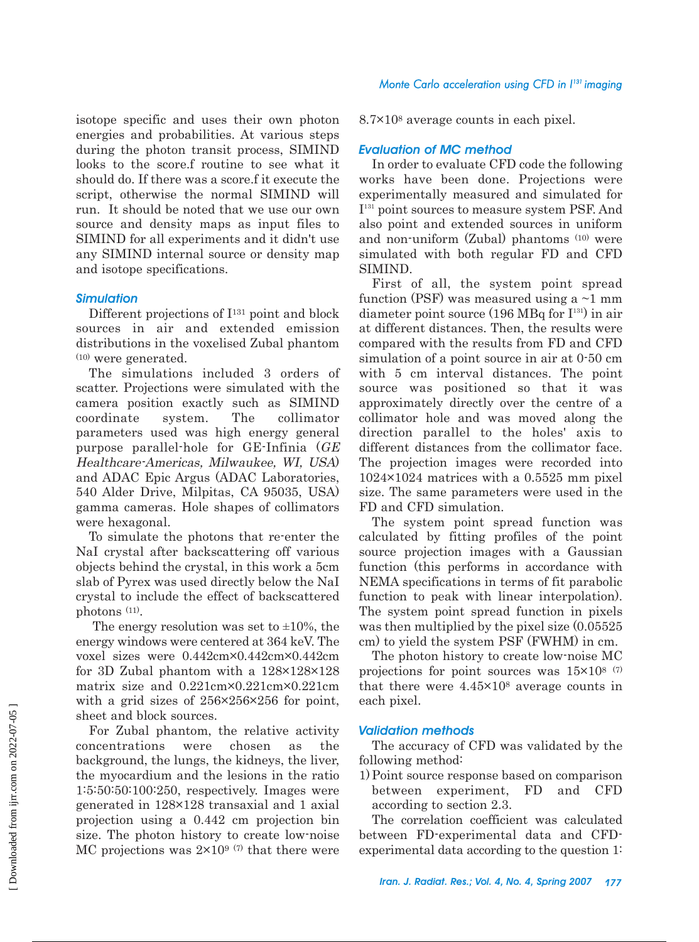isotope specific and uses their own photon energies and probabilities. At various steps during the photon transit process, SIMIND looks to the score.f routine to see what it should do. If there was a score.f it execute the script, otherwise the normal SIMIND will run. It should be noted that we use our own source and density maps as input files to SIMIND for all experiments and it didn't use any SIMIND internal source or density map and isotope specifications.

# *Simulation*

Different projections of I131 point and block sources in air and extended emission distributions in the voxelised Zubal phantom  $(10)$  were generated.

The simulations included 3 orders of scatter. Projections were simulated with the camera position exactly such as SIMIND coordinate system. The collimator parameters used was high energy general purpose parallel-hole for GE-Infinia (GE Healthcare-Americas, Milwaukee, WI, USA) and ADAC Epic Argus (ADAC Laboratories, 540 Alder Drive, Milpitas, CA 95035, USA) gamma cameras. Hole shapes of collimators were hexagonal.

To simulate the photons that re-enter the NaI crystal after backscattering off various objects behind the crystal, in this work a 5cm slab of Pyrex was used directly below the NaI crystal to include the effect of backscattered photons (11).

The energy resolution was set to  $\pm 10\%$ , the energy windows were centered at 364 keV. The voxel sizes were 0.442cm×0.442cm×0.442cm for 3D Zubal phantom with a 128×128×128 matrix size and 0.221cm×0.221cm×0.221cm with a grid sizes of 256×256×256 for point, sheet and block sources.

For Zubal phantom, the relative activity concentrations were chosen as the background, the lungs, the kidneys, the liver, the myocardium and the lesions in the ratio 1:5:50:50:100:250, respectively. Images were generated in 128×128 transaxial and 1 axial projection using a 0.442 cm projection bin size. The photon history to create low-noise MC projections was  $2 \times 10^{9}$  (7) that there were

8.7×108 average counts in each pixel.

# *Evaluation of MC method*

In order to evaluate CFD code the following works have been done. Projections were experimentally measured and simulated for I131 point sources to measure system PSF. And also point and extended sources in uniform and non-uniform (Zubal) phantoms (10) were simulated with both regular FD and CFD SIMIND.

First of all, the system point spread function (PSF) was measured using a  $\sim$ 1 mm diameter point source  $(196 \text{ MBq for } I^{131})$  in air at different distances. Then, the results were compared with the results from FD and CFD simulation of a point source in air at 0-50 cm with 5 cm interval distances. The point source was positioned so that it was approximately directly over the centre of a collimator hole and was moved along the direction parallel to the holes' axis to different distances from the collimator face. The projection images were recorded into 1024×1024 matrices with a 0.5525 mm pixel size. The same parameters were used in the FD and CFD simulation.

The system point spread function was calculated by fitting profiles of the point source projection images with a Gaussian function (this performs in accordance with NEMA specifications in terms of fit parabolic function to peak with linear interpolation). The system point spread function in pixels was then multiplied by the pixel size  $(0.05525)$ cm) to yield the system PSF (FWHM) in cm.

The photon history to create low-noise MC projections for point sources was  $15\times10^{8}$  (7) that there were 4.45×108 average counts in each pixel.

#### *Validation methods*

The accuracy of CFD was validated by the following method:

1) Point source response based on comparison between experiment, FD and CFD according to section 2.3.

The correlation coefficient was calculated between FD-experimental data and CFDexperimental data according to the question 1: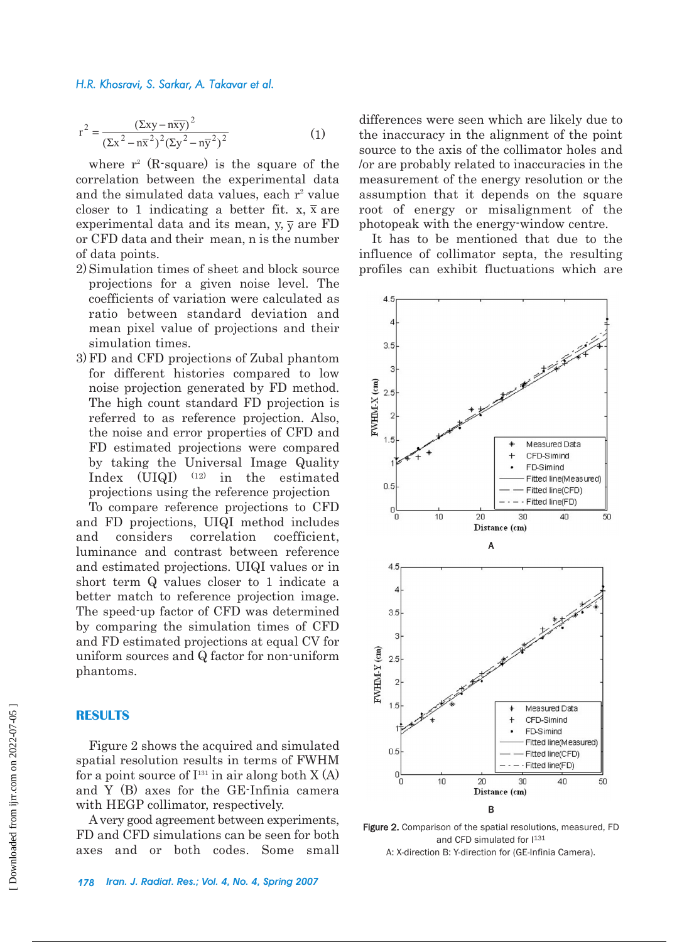$$
r^{2} = \frac{\left(\Sigma xy - n\overline{xy}\right)^{2}}{\left(\Sigma x^{2} - n\overline{x}^{2}\right)^{2}\left(\Sigma y^{2} - n\overline{y}^{2}\right)^{2}}
$$
(1)

where  $r^2$  (R-square) is the square of the correlation between the experimental data and the simulated data values, each  $r^2$  value closer to 1 indicating a better fit. x,  $\bar{x}$  are experimental data and its mean, y,  $\overline{\mathbf{y}}$  are FD or CFD data and their mean, n is the number of data points.

- 2) Simulation times of sheet and block source projections for a given noise level. The coefficients of variation were calculated as ratio between standard deviation and mean pixel value of projections and their simulation times.
- 3) FD and CFD projections of Zubal phantom for different histories compared to low noise projection generated by FD method. The high count standard FD projection is referred to as reference projection. Also, the noise and error properties of CFD and FD estimated projections were compared by taking the Universal Image Quality Index (UIQI) (12) in the estimated projections using the reference projection

To compare reference projections to CFD and FD projections, UIQI method includes and considers correlation coefficient, luminance and contrast between reference and estimated projections. UIQI values or in short term Q values closer to 1 indicate a better match to reference projection image. The speed-up factor of CFD was determined by comparing the simulation times of CFD and FD estimated projections at equal CV for uniform sources and Q factor for non-uniform phantoms.

#### **RESULTS**

Figure 2 shows the acquired and simulated spatial resolution results in terms of FWHM for a point source of  $I<sup>131</sup>$  in air along both X (A) and Y (B) axes for the GE-Infinia camera with HEGP collimator, respectively.

A very good agreement between experiments, FD and CFD simulations can be seen for both axes and or both codes. Some small

*178 Iran. J. Radiat. Res.; Vol. 4, No. 4, Spring 2007*

differences were seen which are likely due to the inaccuracy in the alignment of the point source to the axis of the collimator holes and /or are probably related to inaccuracies in the measurement of the energy resolution or the assumption that it depends on the square root of energy or misalignment of the photopeak with the energy-window centre.

It has to be mentioned that due to the influence of collimator septa, the resulting profiles can exhibit fluctuations which are



Figure 2. Comparison of the spatial resolutions, measured, FD and CFD simulated for  $1^{131}$ A: X-direction B: Y-direction for (GE-Infinia Camera).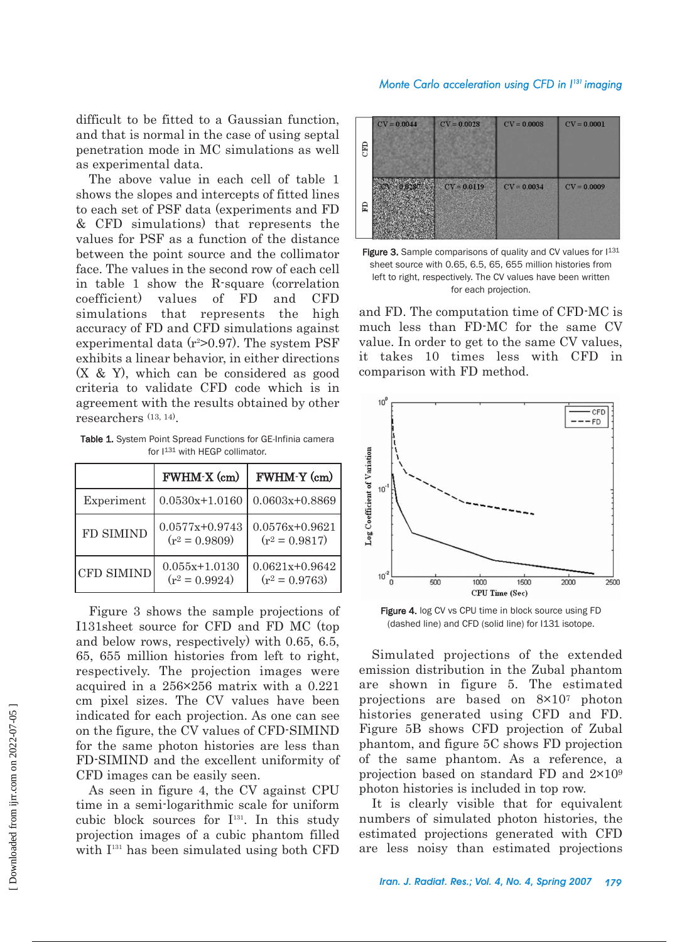## *Monte Carlo acceleration using CFD in I 131 imaging*

difficult to be fitted to a Gaussian function, and that is normal in the case of using septal penetration mode in MC simulations as well as experimental data.

The above value in each cell of table 1 shows the slopes and intercepts of fitted lines to each set of PSF data (experiments and FD & CFD simulations) that represents the values for PSF as a function of the distance between the point source and the collimator face. The values in the second row of each cell in table 1 show the R-square (correlation coefficient) values of FD and CFD simulations that represents the high accuracy of FD and CFD simulations against experimental data  $(r^2>0.97)$ . The system PSF exhibits a linear behavior, in either directions (X & Y), which can be considered as good criteria to validate CFD code which is in agreement with the results obtained by other researchers (13, 14).

Table 1. System Point Spread Functions for GE-Infinia camera for I<sup>131</sup> with HEGP collimator.

|                   | FWHM-X (cm)                          | FWHM-Y (cm)                          |  |
|-------------------|--------------------------------------|--------------------------------------|--|
| Experiment        | $0.0530x+1.0160$                     | $0.0603x+0.8869$                     |  |
| <b>FD SIMIND</b>  | $0.0577x+0.9743$<br>$(r^2 = 0.9809)$ | $0.0576x+0.9621$<br>$(r^2 = 0.9817)$ |  |
| <b>CFD SIMIND</b> | $0.055x+1.0130$<br>$(r^2 = 0.9924)$  | $0.0621x+0.9642$<br>$(r^2 = 0.9763)$ |  |

Figure 3 shows the sample projections of I131sheet source for CFD and FD MC (top and below rows, respectively) with 0.65, 6.5, 65, 655 million histories from left to right, respectively. The projection images were acquired in a 256×256 matrix with a 0.221 cm pixel sizes. The CV values have been indicated for each projection. As one can see on the figure, the CV values of CFD-SIMIND for the same photon histories are less than FD-SIMIND and the excellent uniformity of CFD images can be easily seen.

As seen in figure 4, the CV against CPU time in a semi-logarithmic scale for uniform cubic block sources for  $I<sup>131</sup>$ . In this study projection images of a cubic phantom filled with  $I<sup>131</sup>$  has been simulated using both CFD

| <b>GRO</b> | $CV = 0.0044$ | $CV = 0.0028$ | $CV = 0.0008$ | $CV = 0.0001$ |
|------------|---------------|---------------|---------------|---------------|
| E          | 0.9285        | $CV = 0.0119$ | $CV = 0.0034$ | $CV = 0.0009$ |

Figure 3. Sample comparisons of quality and CV values for  $1^{131}$ sheet source with 0.65, 6.5, 65, 655 million histories from left to right, respectively. The CV values have been written for each projection.

and FD. The computation time of CFD-MC is much less than FD-MC for the same CV value. In order to get to the same CV values, it takes 10 times less with CFD in comparison with FD method.



Figure 4. log CV vs CPU time in block source using FD (dashed line) and CFD (solid line) for I131 isotope.

Simulated projections of the extended emission distribution in the Zubal phantom are shown in figure 5. The estimated projections are based on 8×107 photon histories generated using CFD and FD. Figure 5B shows CFD projection of Zubal phantom, and figure 5C shows FD projection of the same phantom. As a reference, a projection based on standard FD and 2×109 photon histories is included in top row.

It is clearly visible that for equivalent numbers of simulated photon histories, the estimated projections generated with CFD are less noisy than estimated projections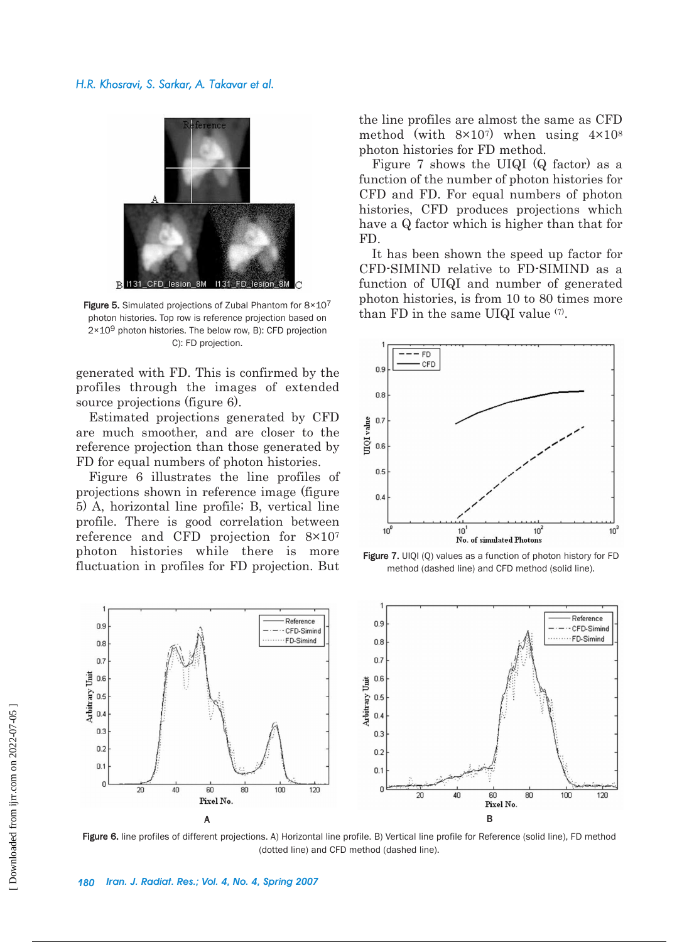

Figure 5. Simulated projections of Zubal Phantom for  $8\times10^{7}$  Figure 1. Figure 5. Simulated projections of Zubal Phantom for  $8\times10^{7}$  than FD in the same UIQI value  $(7)$ . photon histories. Top row is reference projection based on 2×109 photon histories. The below row, B): CFD projection C): FD projection.

generated with FD. This is confirmed by the profiles through the images of extended source projections (figure 6).

Estimated projections generated by CFD are much smoother, and are closer to the reference projection than those generated by FD for equal numbers of photon histories.

Figure 6 illustrates the line profiles of projections shown in reference image (figure 5) A, horizontal line profile; B, vertical line profile. There is good correlation between reference and CFD projection for 8×107 photon histories while there is more fluctuation in profiles for FD projection. But the line profiles are almost the same as CFD method (with  $8\times10^{7}$ ) when using  $4\times10^{8}$ photon histories for FD method.

Figure 7 shows the UIQI (Q factor) as a function of the number of photon histories for CFD and FD. For equal numbers of photon histories, CFD produces projections which have a Q factor which is higher than that for FD.

It has been shown the speed up factor for CFD-SIMIND relative to FD-SIMIND as a function of UIQI and number of generated photon histories, is from 10 to 80 times more



Figure 7. UIQI (Q) values as a function of photon history for FD method (dashed line) and CFD method (solid line).



Figure 6. line profiles of different projections. A) Horizontal line profile. B) Vertical line profile for Reference (solid line), FD method (dotted line) and CFD method (dashed line).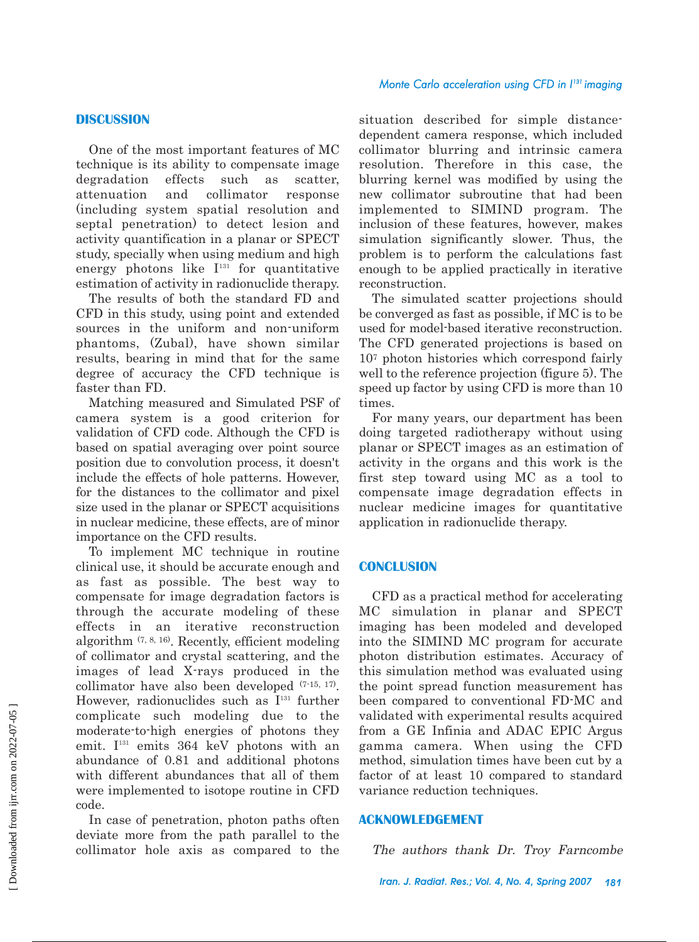#### *Monte Carlo acceleration using CFD in I 131 imaging*

## **DISCUSSION**

One of the most important features of MC technique is its ability to compensate image degradation effects such as scatter, attenuation and collimator response (including system spatial resolution and septal penetration) to detect lesion and activity quantification in a planar or SPECT study, specially when using medium and high energy photons like  $I<sup>131</sup>$  for quantitative estimation of activity in radionuclide therapy.

The results of both the standard FD and CFD in this study, using point and extended sources in the uniform and non-uniform phantoms, (Zubal), have shown similar results, bearing in mind that for the same degree of accuracy the CFD technique is faster than FD.

Matching measured and Simulated PSF of camera system is a good criterion for validation of CFD code. Although the CFD is based on spatial averaging over point source position due to convolution process, it doesn't include the effects of hole patterns. However, for the distances to the collimator and pixel size used in the planar or SPECT acquisitions in nuclear medicine, these effects, are of minor importance on the CFD results.

To implement MC technique in routine clinical use, it should be accurate enough and as fast as possible. The best way to compensate for image degradation factors is through the accurate modeling of these effects in an iterative reconstruction algorithm (7, 8, 16). Recently, efficient modeling of collimator and crystal scattering, and the images of lead X-rays produced in the collimator have also been developed (7-15, 17). However, radionuclides such as  $I^{131}$  further complicate such modeling due to the moderate-to-high energies of photons they emit.  $I<sup>131</sup>$  emits 364 keV photons with an abundance of 0.81 and additional photons with different abundances that all of them were implemented to isotope routine in CFD code.

In case of penetration, photon paths often deviate more from the path parallel to the collimator hole axis as compared to the situation described for simple distancedependent camera response, which included collimator blurring and intrinsic camera resolution. Therefore in this case, the blurring kernel was modified by using the new collimator subroutine that had been implemented to SIMIND program. The inclusion of these features, however, makes simulation significantly slower. Thus, the problem is to perform the calculations fast enough to be applied practically in iterative reconstruction.

The simulated scatter projections should be converged as fast as possible, if MC is to be used for model-based iterative reconstruction. The CFD generated projections is based on 107 photon histories which correspond fairly well to the reference projection (figure 5). The speed up factor by using CFD is more than 10 times.

For many years, our department has been doing targeted radiotherapy without using planar or SPECT images as an estimation of activity in the organs and this work is the first step toward using MC as a tool to compensate image degradation effects in nuclear medicine images for quantitative application in radionuclide therapy.

#### **CONCLUSION**

CFD as a practical method for accelerating MC simulation in planar and SPECT imaging has been modeled and developed into the SIMIND MC program for accurate photon distribution estimates. Accuracy of this simulation method was evaluated using the point spread function measurement has been compared to conventional FD-MC and validated with experimental results acquired from a GE Infinia and ADAC EPIC Argus gamma camera. When using the CFD method, simulation times have been cut by a factor of at least 10 compared to standard variance reduction techniques.

# **ACKNOWLEDGEMENT**

The authors thank Dr. Troy Farncombe